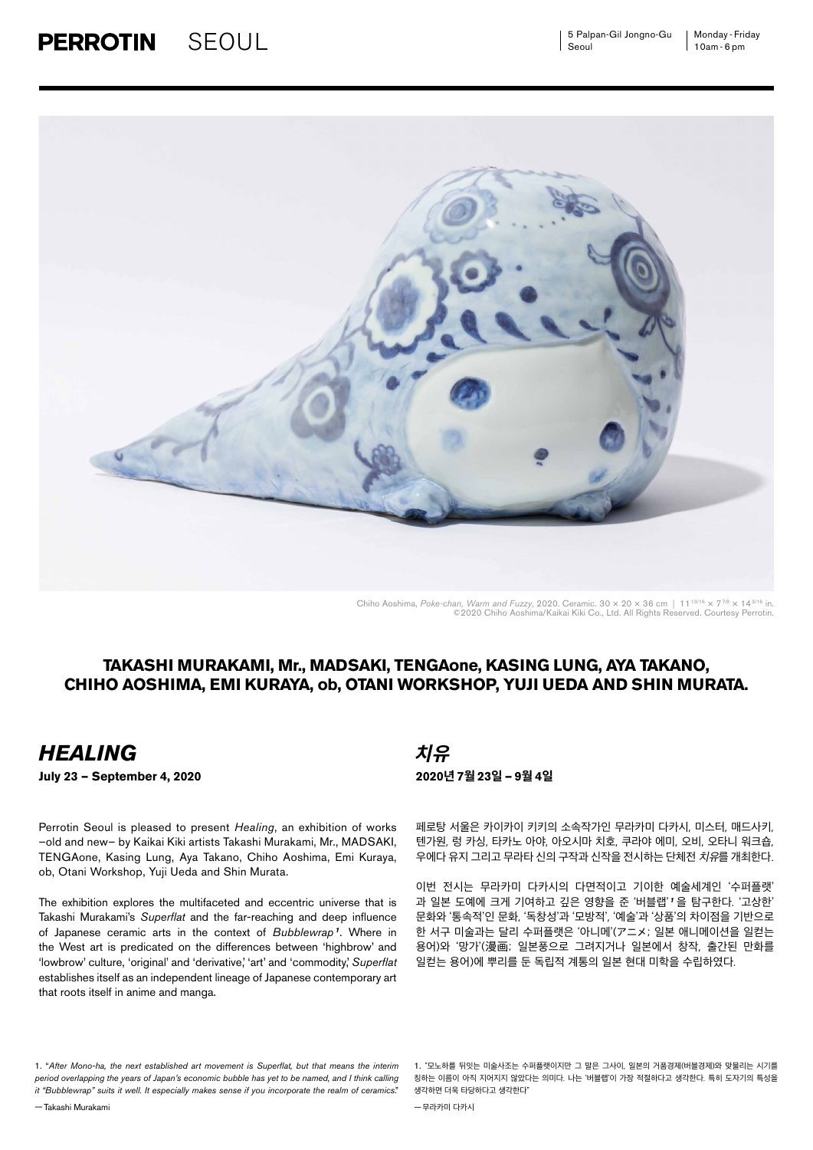

Chiho Aoshima, *Poke-chan, Warm and Fuzzy*, 2020. Ceramic. 30 × 20 × 36 cm | 11<sup>13/16</sup> × 7<sup>7/8</sup> × 14<sup>3/16</sup> in.<br>
©2020 Chiho Aoshima/Kaikai Kiki Co., Ltd. All Rights Reserved. Courtesy Perrotin.

### **TAKASHI MURAKAMI, Mr., MADSAKI, TENGAone, KASING LUNG, AYA TAKANO, CHIHO AOSHIMA, EMI KURAYA, ob, OTANI WORKSHOP, YUJI UEDA AND SHIN MURATA.**

## *HEALING* **치유**

—Takashi Murakami

Perrotin Seoul is pleased to present *Healing*, an exhibition of works –old and new– by Kaikai Kiki artists Takashi Murakami, Mr., MADSAKI, TENGAone, Kasing Lung, Aya Takano, Chiho Aoshima, Emi Kuraya, ob, Otani Workshop, Yuji Ueda and Shin Murata.

The exhibition explores the multifaceted and eccentric universe that is Takashi Murakami's *Superflat* and the far-reaching and deep influence of Japanese ceramic arts in the context of *Bubblewrap <sup>1</sup>* . Where in the West art is predicated on the differences between 'highbrow' and 'lowbrow' culture, 'original' and 'derivative,' 'art' and 'commodity,' *Superflat* establishes itself as an independent lineage of Japanese contemporary art that roots itself in anime and manga.

1. "*After Mono-ha, the next established art movement is Superflat, but that means the interim period overlapping the years of Japan's economic bubble has yet to be named, and I think calling it "Bubblewrap" suits it well. It especially makes sense if you incorporate the realm of ceramics*."

**July 23 — September 4, 2020 2020년 7월 23일 — 9월 4일**

페로탕 서울은 카이카이 키키의 소속작가인 무라카미 다카시, 미스터, 매드사키, 텐가원, 렁 카싱, 타카노 아야, 아오시마 치호, 쿠라야 에미, 오비, 오타니 워크숍, 우에다 유지 그리고 무라타 신의 구작과 신작을 전시하는 단체전 치유를 개최한다.

이번 전시는 무라카미 다카시의 다면적이고 기이한 예술세계인 '수퍼플랫' 과 일본 도예에 크게 기여하고 깊은 영향을 준 '버블랩' *<sup>1</sup>* 을 탐구한다. '고상한' 문화와 '통속적'인 문화, '독창성'과 '모방적', '예술'과 '상품'의 차이점을 기반으로 한 서구 미술과는 달리 수퍼플랫은 '아니메'(アニメ; 일본 애니메이션을 일컫는 용어)와 '망가'(漫画; 일본풍으로 그려지거나 일본에서 창작, 출간된 만화를 일컫는 용어)에 뿌리를 둔 독립적 계통의 일본 현대 미학을 수립하였다.

—무라카미 다카시

<sup>1.</sup> "모노하를 뒤잇는 미술사조는 수퍼플랫이지만 그 말은 그사이, 일본의 거품경제(버블경제)와 맞물리는 시기를 칭하는 이름이 아직 지어지지 않았다는 의미다. 나는 '버블랩'이 가장 적절하다고 생각한다. 특히 도자기의 특성을 생각하면 더욱 타당하다고 생각한다"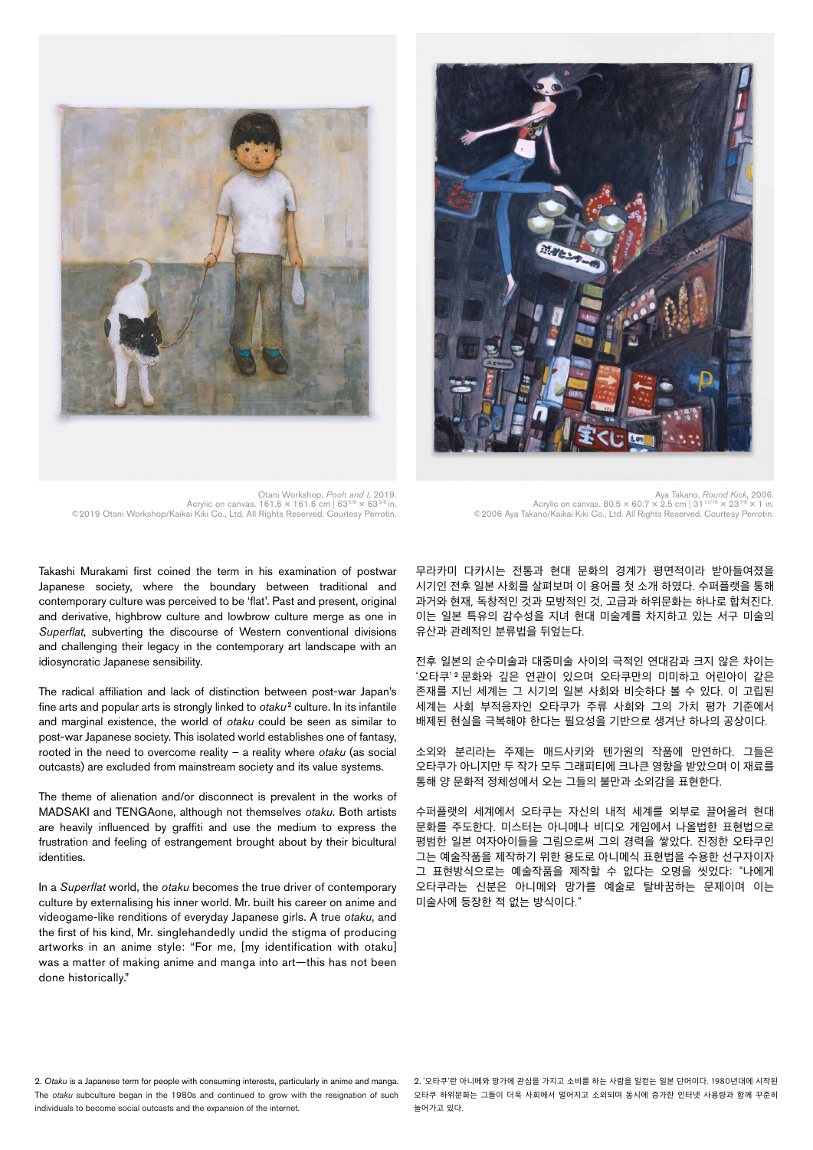



Otani Workshop, *Pooh and I*, 2019. Acrylic on canvas. 161.6 × 161.6 cm | 635/8 × 635/8 in. ©2019 Otani Workshop/Kaikai Kiki Co., Ltd. All Rights Reserved. Courtesy Perrotin.

Aya Takano, *Round Kick*, 2006. Acrylic on canvas. 80.5 × 60.7 × 2.5 cm | 3111/16 × 237/8 × 1 in. ©2006 Aya Takano/Kaikai Kiki Co., Ltd. All Rights Reserved. Courtesy Perrotin.

Takashi Murakami first coined the term in his examination of postwar Japanese society, where the boundary between traditional and contemporary culture was perceived to be 'flat'. Past and present, original and derivative, highbrow culture and lowbrow culture merge as one in *Superflat*, subverting the discourse of Western conventional divisions and challenging their legacy in the contemporary art landscape with an idiosyncratic Japanese sensibility.

The radical affiliation and lack of distinction between post-war Japan's fine arts and popular arts is strongly linked to *otaku*<sup>2</sup> culture. In its infantile and marginal existence, the world of *otaku* could be seen as similar to post-war Japanese society. This isolated world establishes one of fantasy, rooted in the need to overcome reality – a reality where *otaku* (as social outcasts) are excluded from mainstream society and its value systems.

The theme of alienation and/or disconnect is prevalent in the works of MADSAKI and TENGAone, although not themselves *otaku*. Both artists are heavily influenced by graffiti and use the medium to express the frustration and feeling of estrangement brought about by their bicultural identities.

In a *Superflat* world, the *otaku* becomes the true driver of contemporary culture by externalising his inner world. Mr. built his career on anime and videogame-like renditions of everyday Japanese girls. A true *otaku*, and the first of his kind, Mr. singlehandedly undid the stigma of producing artworks in an anime style: "For me, [my identification with otaku] was a matter of making anime and manga into art—this has not been done historically."

무라카미 다카시는 전통과 현대 문화의 경계가 평면적이라 받아들여졌을 시기인 전후 일본 사회를 살펴보며 이 용어를 첫 소개 하였다. 수퍼플랫을 통해 과거와 현재, 독창적인 것과 모방적인 것, 고급과 하위문화는 하나로 합쳐진다. 이는 일본 특유의 감수성을 지녀 현대 미술계를 차지하고 있는 서구 미술의 유산과 관례적인 분류법을 뒤엎는다.

전후 일본의 순수미술과 대중미술 사이의 극적인 연대감과 크지 않은 차이는 '오타쿠' 2 문화와 깊은 연관이 있으며 오타쿠만의 미미하고 어린아이 같은 존재를 지닌 세계는 그 시기의 일본 사회와 비슷하다 볼 수 있다. 이 고립된 세계는 사회 부적응자인 오타쿠가 주류 사회와 그의 가치 평가 기준에서 배제된 현실을 극복해야 한다는 필요성을 기반으로 생겨난 하나의 공상이다.

소외와 분리라는 주제는 매드사키와 텐가원의 작품에 만연하다. 그들은 오타쿠가 아니지만 두 작가 모두 그래피티에 크나큰 영향을 받았으며 이 재료를 통해 양 문화적 정체성에서 오는 그들의 불만과 소외감을 표현한다.

수퍼플랫의 세계에서 오타쿠는 자신의 내적 세계를 외부로 끌어올려 현대 문화를 주도한다. 미스터는 아니메나 비디오 게임에서 나올법한 표현법으로 평범한 일본 여자아이들을 그림으로써 그의 경력을 쌓았다. 진정한 오타쿠인 그는 예술작품을 제작하기 위한 용도로 아니메식 표현법을 수용한 선구자이자 그 표현방식으로는 예술작품을 제작할 수 없다는 오명을 씻었다: "나에게 오타쿠라는 신분은 아니메와 망가를 예술로 탈바꿈하는 문제이며 이는 미술사에 등장한 적 없는 방식이다."

2. *Otaku* is a Japanese term for people with consuming interests, particularly in anime and manga. The *otaku* subculture began in the 1980s and continued to grow with the resignation of such individuals to become social outcasts and the expansion of the internet.

2. '오타쿠'란 아니메와 망가에 관심을 가지고 소비를 하는 사람을 일컫는 일본 단어이다. 1980년대에 시작된 오타쿠 하위문화는 그들이 더욱 사회에서 멀어지고 소외되며 동시에 증가한 인터넷 사용량과 함께 꾸준히 늘어가고 있다.